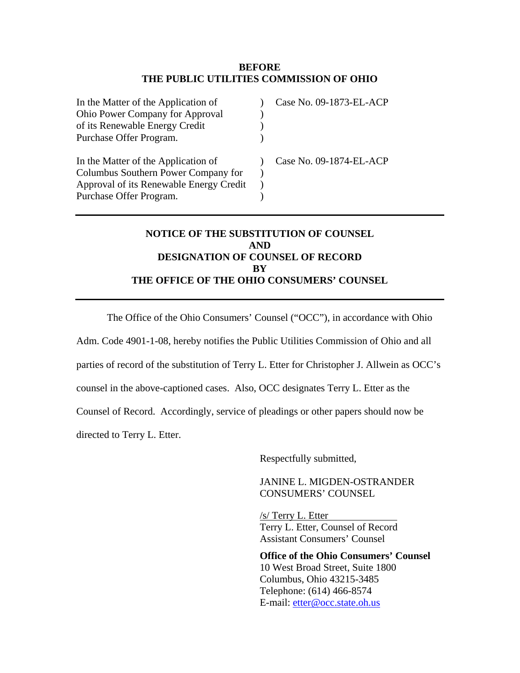## **BEFORE THE PUBLIC UTILITIES COMMISSION OF OHIO**

| Case No. 09-1873-EL-ACP |
|-------------------------|
|                         |
|                         |
|                         |
| Case No. 09-1874-EL-ACP |
|                         |
|                         |
|                         |
|                         |

# **NOTICE OF THE SUBSTITUTION OF COUNSEL AND DESIGNATION OF COUNSEL OF RECORD BY THE OFFICE OF THE OHIO CONSUMERS' COUNSEL**

The Office of the Ohio Consumers' Counsel ("OCC"), in accordance with Ohio

Adm. Code 4901-1-08, hereby notifies the Public Utilities Commission of Ohio and all

parties of record of the substitution of Terry L. Etter for Christopher J. Allwein as OCC's

counsel in the above-captioned cases. Also, OCC designates Terry L. Etter as the

Counsel of Record. Accordingly, service of pleadings or other papers should now be

directed to Terry L. Etter.

Respectfully submitted,

JANINE L. MIGDEN-OSTRANDER CONSUMERS' COUNSEL

/s/ Terry L. Etter Terry L. Etter, Counsel of Record Assistant Consumers' Counsel

**Office of the Ohio Consumers' Counsel**  10 West Broad Street, Suite 1800 Columbus, Ohio 43215-3485 Telephone: (614) 466-8574 E-mail: [etter@occ.state.oh.us](mailto:allwein@occ.state.oh.us)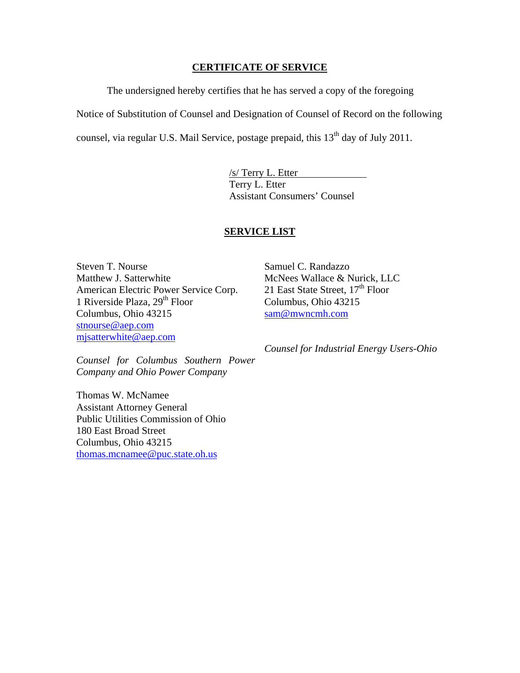## **CERTIFICATE OF SERVICE**

The undersigned hereby certifies that he has served a copy of the foregoing

Notice of Substitution of Counsel and Designation of Counsel of Record on the following

counsel, via regular U.S. Mail Service, postage prepaid, this  $13<sup>th</sup>$  day of July 2011.

/s/ Terry L. Etter Terry L. Etter Assistant Consumers' Counsel

### **SERVICE LIST**

Steven T. Nourse Matthew J. Satterwhite American Electric Power Service Corp. 1 Riverside Plaza, 29<sup>th</sup> Floor Columbus, Ohio 43215 [stnourse@aep.com](mailto:stnourse@aep.com) [mjsatterwhite@aep.com](mailto:mjsatterwhite@aep.com)

Samuel C. Randazzo McNees Wallace & Nurick, LLC 21 East State Street,  $17<sup>th</sup>$  Floor Columbus, Ohio 43215 [sam@mwncmh.com](mailto:sam@mwncmh.com)

*Counsel for Industrial Energy Users-Ohio* 

*Counsel for Columbus Southern Power Company and Ohio Power Company* 

Thomas W. McNamee Assistant Attorney General Public Utilities Commission of Ohio 180 East Broad Street Columbus, Ohio 43215 [thomas.mcnamee@puc.state.oh.us](mailto:thomas.mcnamee@puc.state.oh.us)